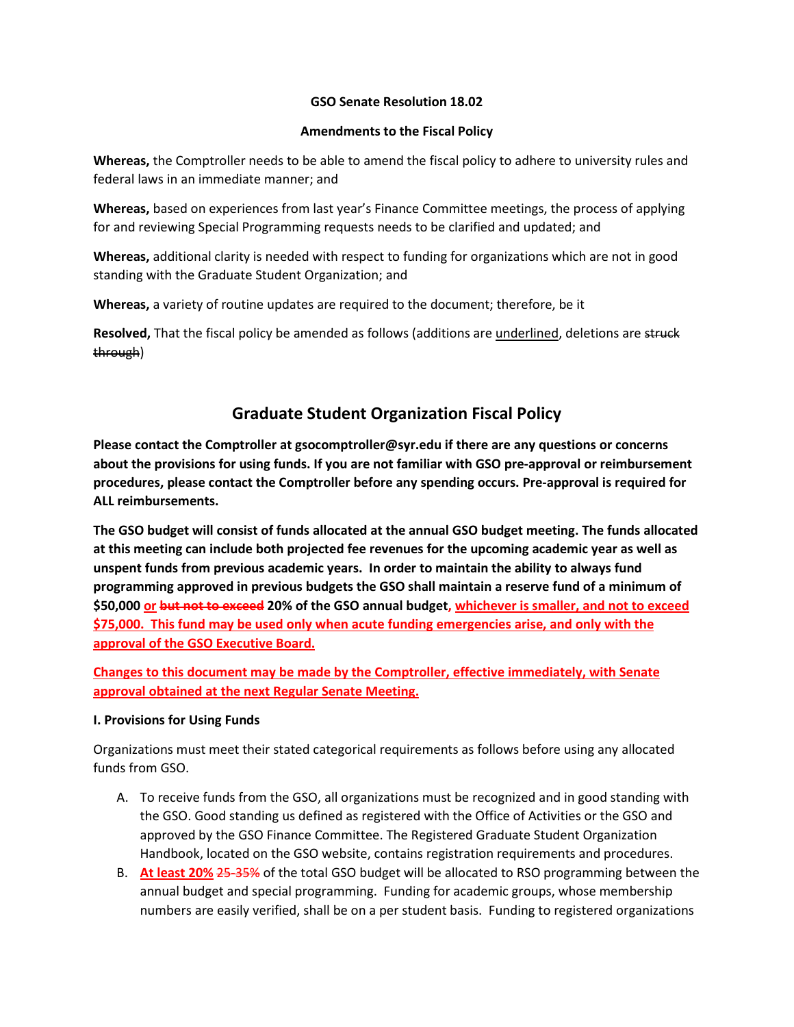## **GSO Senate Resolution 18.02**

#### **Amendments to the Fiscal Policy**

**Whereas,** the Comptroller needs to be able to amend the fiscal policy to adhere to university rules and federal laws in an immediate manner; and

**Whereas,** based on experiences from last year's Finance Committee meetings, the process of applying for and reviewing Special Programming requests needs to be clarified and updated; and

**Whereas,** additional clarity is needed with respect to funding for organizations which are not in good standing with the Graduate Student Organization; and

**Whereas,** a variety of routine updates are required to the document; therefore, be it

**Resolved,** That the fiscal policy be amended as follows (additions are *underlined*, deletions are struck through)

# **Graduate Student Organization Fiscal Policy**

**Please contact the Comptroller at gsocomptroller@syr.edu if there are any questions or concerns about the provisions for using funds. If you are not familiar with GSO pre-approval or reimbursement procedures, please contact the Comptroller before any spending occurs. Pre-approval is required for ALL reimbursements.**

**The GSO budget will consist of funds allocated at the annual GSO budget meeting. The funds allocated at this meeting can include both projected fee revenues for the upcoming academic year as well as unspent funds from previous academic years. In order to maintain the ability to always fund programming approved in previous budgets the GSO shall maintain a reserve fund of a minimum of \$50,000 or but not to exceed 20% of the GSO annual budget, whichever is smaller, and not to exceed \$75,000. This fund may be used only when acute funding emergencies arise, and only with the approval of the GSO Executive Board.**

**Changes to this document may be made by the Comptroller, effective immediately, with Senate approval obtained at the next Regular Senate Meeting.**

## **I. Provisions for Using Funds**

Organizations must meet their stated categorical requirements as follows before using any allocated funds from GSO.

- A. To receive funds from the GSO, all organizations must be recognized and in good standing with the GSO. Good standing us defined as registered with the Office of Activities or the GSO and approved by the GSO Finance Committee. The Registered Graduate Student Organization Handbook, located on the GSO website, contains registration requirements and procedures.
- B. **At least 20%** 25-35% of the total GSO budget will be allocated to RSO programming between the annual budget and special programming. Funding for academic groups, whose membership numbers are easily verified, shall be on a per student basis. Funding to registered organizations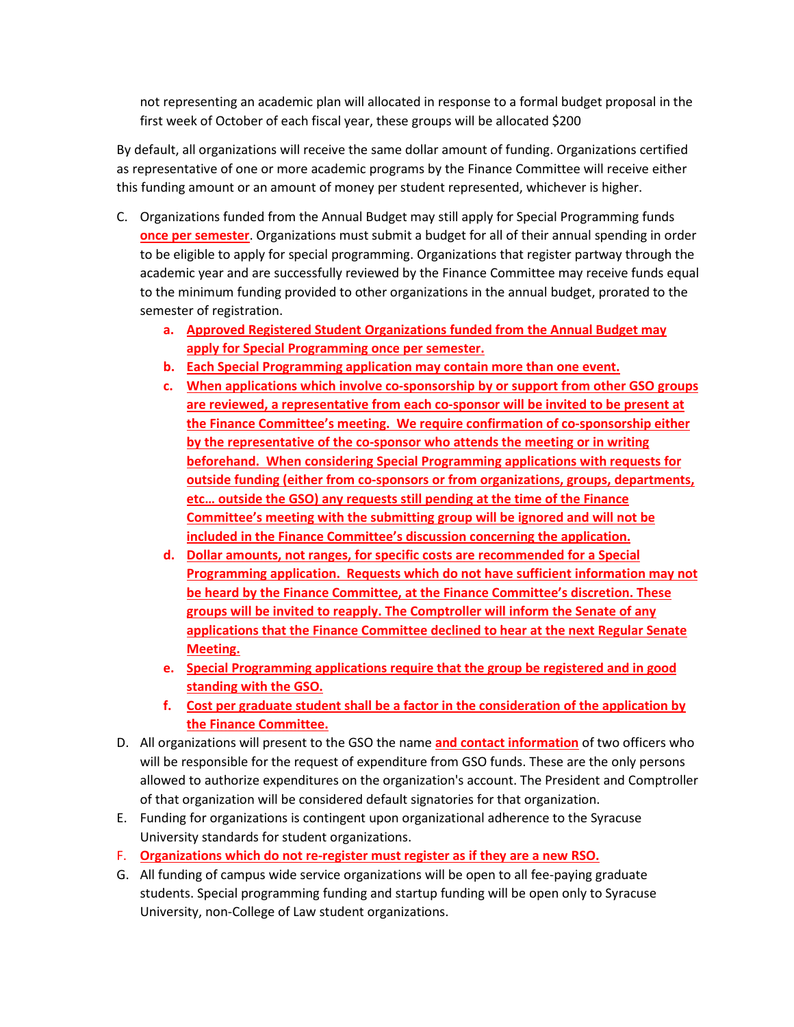not representing an academic plan will allocated in response to a formal budget proposal in the first week of October of each fiscal year, these groups will be allocated \$200

By default, all organizations will receive the same dollar amount of funding. Organizations certified as representative of one or more academic programs by the Finance Committee will receive either this funding amount or an amount of money per student represented, whichever is higher.

- C. Organizations funded from the Annual Budget may still apply for Special Programming funds **once per semester**. Organizations must submit a budget for all of their annual spending in order to be eligible to apply for special programming. Organizations that register partway through the academic year and are successfully reviewed by the Finance Committee may receive funds equal to the minimum funding provided to other organizations in the annual budget, prorated to the semester of registration.
	- **a. Approved Registered Student Organizations funded from the Annual Budget may apply for Special Programming once per semester.**
	- **b. Each Special Programming application may contain more than one event.**
	- **c. When applications which involve co-sponsorship by or support from other GSO groups are reviewed, a representative from each co-sponsor will be invited to be present at the Finance Committee's meeting. We require confirmation of co-sponsorship either by the representative of the co-sponsor who attends the meeting or in writing beforehand. When considering Special Programming applications with requests for outside funding (either from co-sponsors or from organizations, groups, departments, etc… outside the GSO) any requests still pending at the time of the Finance Committee's meeting with the submitting group will be ignored and will not be included in the Finance Committee's discussion concerning the application.**
	- **d. Dollar amounts, not ranges, for specific costs are recommended for a Special Programming application. Requests which do not have sufficient information may not be heard by the Finance Committee, at the Finance Committee's discretion. These groups will be invited to reapply. The Comptroller will inform the Senate of any applications that the Finance Committee declined to hear at the next Regular Senate Meeting.**
	- **e. Special Programming applications require that the group be registered and in good standing with the GSO.**
	- **f. Cost per graduate student shall be a factor in the consideration of the application by the Finance Committee.**
- D. All organizations will present to the GSO the name **and contact information** of two officers who will be responsible for the request of expenditure from GSO funds. These are the only persons allowed to authorize expenditures on the organization's account. The President and Comptroller of that organization will be considered default signatories for that organization.
- E. Funding for organizations is contingent upon organizational adherence to the Syracuse University standards for student organizations.
- F. **Organizations which do not re-register must register as if they are a new RSO.**
- G. All funding of campus wide service organizations will be open to all fee-paying graduate students. Special programming funding and startup funding will be open only to Syracuse University, non-College of Law student organizations.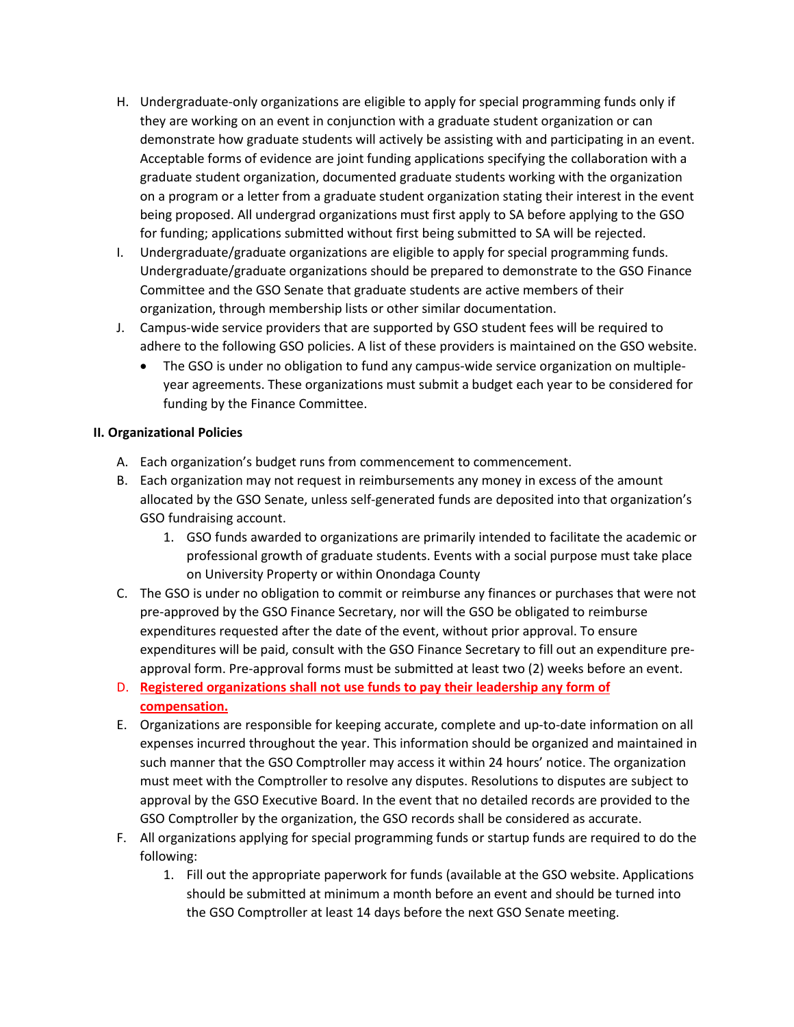- H. Undergraduate-only organizations are eligible to apply for special programming funds only if they are working on an event in conjunction with a graduate student organization or can demonstrate how graduate students will actively be assisting with and participating in an event. Acceptable forms of evidence are joint funding applications specifying the collaboration with a graduate student organization, documented graduate students working with the organization on a program or a letter from a graduate student organization stating their interest in the event being proposed. All undergrad organizations must first apply to SA before applying to the GSO for funding; applications submitted without first being submitted to SA will be rejected.
- I. Undergraduate/graduate organizations are eligible to apply for special programming funds. Undergraduate/graduate organizations should be prepared to demonstrate to the GSO Finance Committee and the GSO Senate that graduate students are active members of their organization, through membership lists or other similar documentation.
- J. Campus-wide service providers that are supported by GSO student fees will be required to adhere to the following GSO policies. A list of these providers is maintained on the GSO website.
	- The GSO is under no obligation to fund any campus-wide service organization on multipleyear agreements. These organizations must submit a budget each year to be considered for funding by the Finance Committee.

# **II. Organizational Policies**

- A. Each organization's budget runs from commencement to commencement.
- B. Each organization may not request in reimbursements any money in excess of the amount allocated by the GSO Senate, unless self-generated funds are deposited into that organization's GSO fundraising account.
	- 1. GSO funds awarded to organizations are primarily intended to facilitate the academic or professional growth of graduate students. Events with a social purpose must take place on University Property or within Onondaga County
- C. The GSO is under no obligation to commit or reimburse any finances or purchases that were not pre-approved by the GSO Finance Secretary, nor will the GSO be obligated to reimburse expenditures requested after the date of the event, without prior approval. To ensure expenditures will be paid, consult with the GSO Finance Secretary to fill out an expenditure preapproval form. Pre-approval forms must be submitted at least two (2) weeks before an event.
- D. **Registered organizations shall not use funds to pay their leadership any form of compensation.**
- E. Organizations are responsible for keeping accurate, complete and up-to-date information on all expenses incurred throughout the year. This information should be organized and maintained in such manner that the GSO Comptroller may access it within 24 hours' notice. The organization must meet with the Comptroller to resolve any disputes. Resolutions to disputes are subject to approval by the GSO Executive Board. In the event that no detailed records are provided to the GSO Comptroller by the organization, the GSO records shall be considered as accurate.
- F. All organizations applying for special programming funds or startup funds are required to do the following:
	- 1. Fill out the appropriate paperwork for funds (available at the GSO website. Applications should be submitted at minimum a month before an event and should be turned into the GSO Comptroller at least 14 days before the next GSO Senate meeting.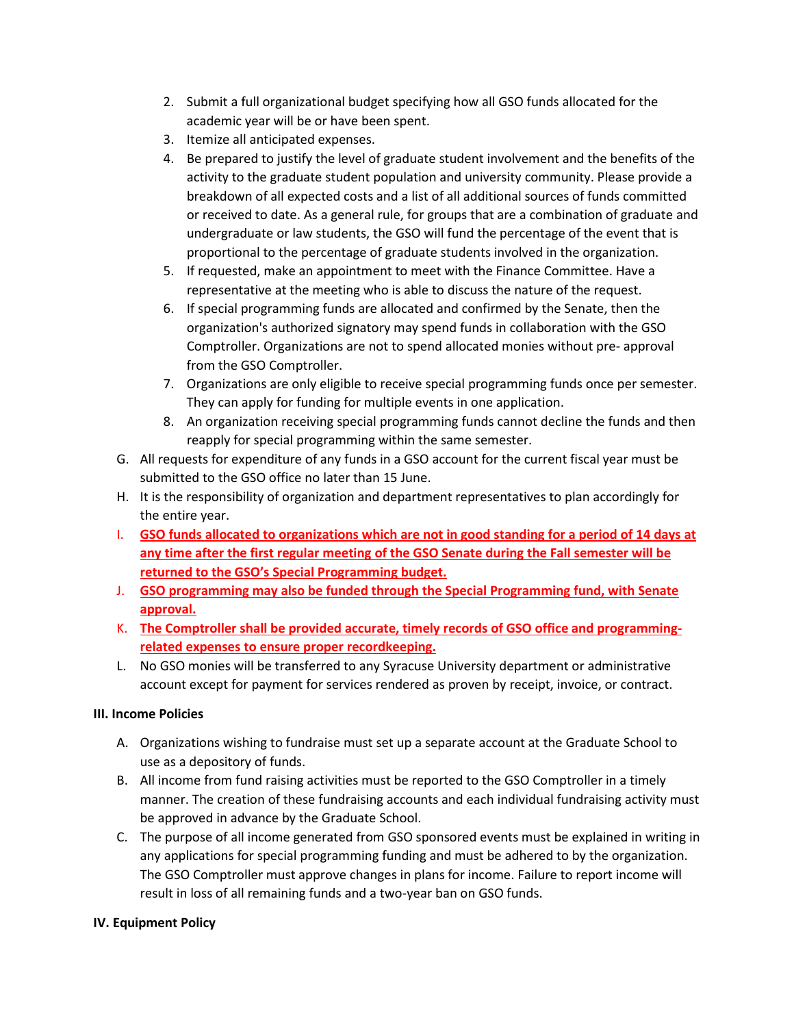- 2. Submit a full organizational budget specifying how all GSO funds allocated for the academic year will be or have been spent.
- 3. Itemize all anticipated expenses.
- 4. Be prepared to justify the level of graduate student involvement and the benefits of the activity to the graduate student population and university community. Please provide a breakdown of all expected costs and a list of all additional sources of funds committed or received to date. As a general rule, for groups that are a combination of graduate and undergraduate or law students, the GSO will fund the percentage of the event that is proportional to the percentage of graduate students involved in the organization.
- 5. If requested, make an appointment to meet with the Finance Committee. Have a representative at the meeting who is able to discuss the nature of the request.
- 6. If special programming funds are allocated and confirmed by the Senate, then the organization's authorized signatory may spend funds in collaboration with the GSO Comptroller. Organizations are not to spend allocated monies without pre- approval from the GSO Comptroller.
- 7. Organizations are only eligible to receive special programming funds once per semester. They can apply for funding for multiple events in one application.
- 8. An organization receiving special programming funds cannot decline the funds and then reapply for special programming within the same semester.
- G. All requests for expenditure of any funds in a GSO account for the current fiscal year must be submitted to the GSO office no later than 15 June.
- H. It is the responsibility of organization and department representatives to plan accordingly for the entire year.
- I. **GSO funds allocated to organizations which are not in good standing for a period of 14 days at any time after the first regular meeting of the GSO Senate during the Fall semester will be returned to the GSO's Special Programming budget.**
- J. **GSO programming may also be funded through the Special Programming fund, with Senate approval.**
- K. **The Comptroller shall be provided accurate, timely records of GSO office and programmingrelated expenses to ensure proper recordkeeping.**
- L. No GSO monies will be transferred to any Syracuse University department or administrative account except for payment for services rendered as proven by receipt, invoice, or contract.

# **III. Income Policies**

- A. Organizations wishing to fundraise must set up a separate account at the Graduate School to use as a depository of funds.
- B. All income from fund raising activities must be reported to the GSO Comptroller in a timely manner. The creation of these fundraising accounts and each individual fundraising activity must be approved in advance by the Graduate School.
- C. The purpose of all income generated from GSO sponsored events must be explained in writing in any applications for special programming funding and must be adhered to by the organization. The GSO Comptroller must approve changes in plans for income. Failure to report income will result in loss of all remaining funds and a two-year ban on GSO funds.

# **IV. Equipment Policy**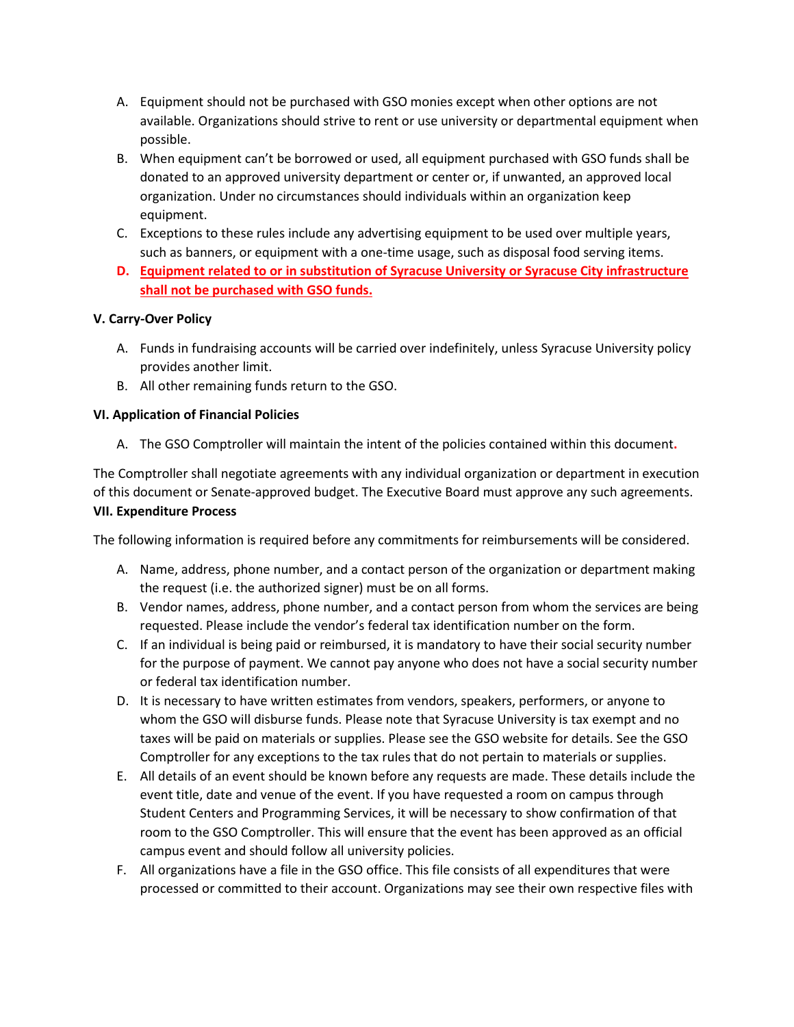- A. Equipment should not be purchased with GSO monies except when other options are not available. Organizations should strive to rent or use university or departmental equipment when possible.
- B. When equipment can't be borrowed or used, all equipment purchased with GSO funds shall be donated to an approved university department or center or, if unwanted, an approved local organization. Under no circumstances should individuals within an organization keep equipment.
- C. Exceptions to these rules include any advertising equipment to be used over multiple years, such as banners, or equipment with a one-time usage, such as disposal food serving items.
- **D. Equipment related to or in substitution of Syracuse University or Syracuse City infrastructure shall not be purchased with GSO funds.**

# **V. Carry-Over Policy**

- A. Funds in fundraising accounts will be carried over indefinitely, unless Syracuse University policy provides another limit.
- B. All other remaining funds return to the GSO.

# **VI. Application of Financial Policies**

A. The GSO Comptroller will maintain the intent of the policies contained within this document**.**

The Comptroller shall negotiate agreements with any individual organization or department in execution of this document or Senate-approved budget. The Executive Board must approve any such agreements. **VII. Expenditure Process**

The following information is required before any commitments for reimbursements will be considered.

- A. Name, address, phone number, and a contact person of the organization or department making the request (i.e. the authorized signer) must be on all forms.
- B. Vendor names, address, phone number, and a contact person from whom the services are being requested. Please include the vendor's federal tax identification number on the form.
- C. If an individual is being paid or reimbursed, it is mandatory to have their social security number for the purpose of payment. We cannot pay anyone who does not have a social security number or federal tax identification number.
- D. It is necessary to have written estimates from vendors, speakers, performers, or anyone to whom the GSO will disburse funds. Please note that Syracuse University is tax exempt and no taxes will be paid on materials or supplies. Please see the GSO website for details. See the GSO Comptroller for any exceptions to the tax rules that do not pertain to materials or supplies.
- E. All details of an event should be known before any requests are made. These details include the event title, date and venue of the event. If you have requested a room on campus through Student Centers and Programming Services, it will be necessary to show confirmation of that room to the GSO Comptroller. This will ensure that the event has been approved as an official campus event and should follow all university policies.
- F. All organizations have a file in the GSO office. This file consists of all expenditures that were processed or committed to their account. Organizations may see their own respective files with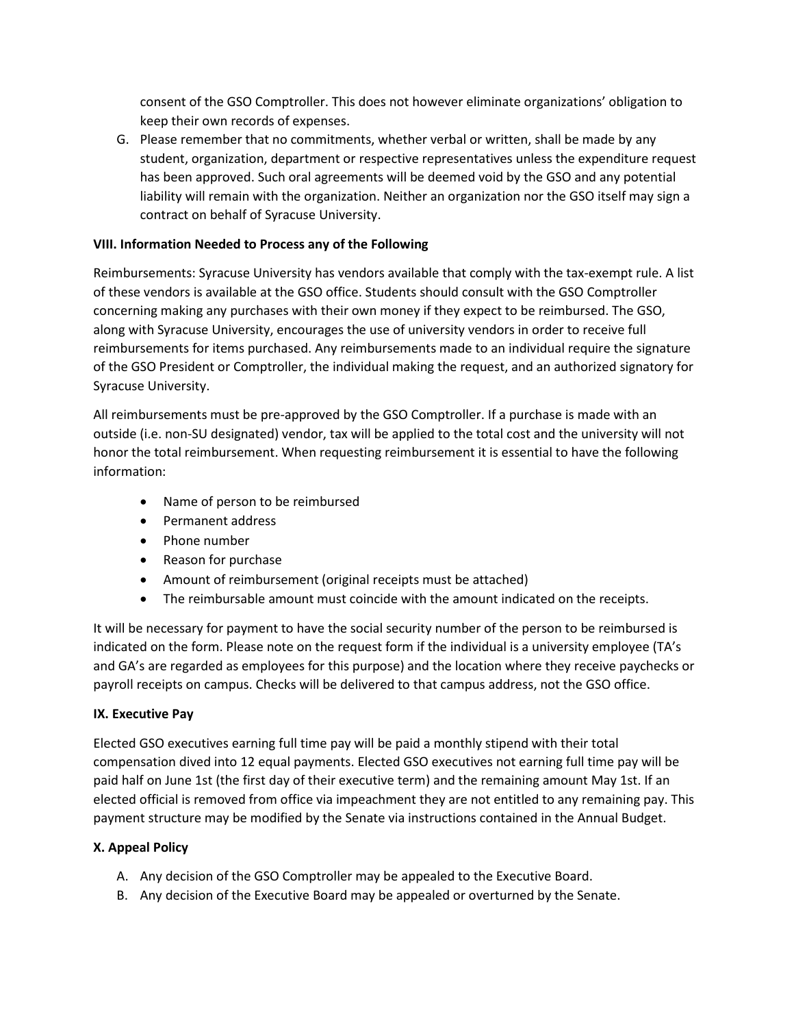consent of the GSO Comptroller. This does not however eliminate organizations' obligation to keep their own records of expenses.

G. Please remember that no commitments, whether verbal or written, shall be made by any student, organization, department or respective representatives unless the expenditure request has been approved. Such oral agreements will be deemed void by the GSO and any potential liability will remain with the organization. Neither an organization nor the GSO itself may sign a contract on behalf of Syracuse University.

# **VIII. Information Needed to Process any of the Following**

Reimbursements: Syracuse University has vendors available that comply with the tax-exempt rule. A list of these vendors is available at the GSO office. Students should consult with the GSO Comptroller concerning making any purchases with their own money if they expect to be reimbursed. The GSO, along with Syracuse University, encourages the use of university vendors in order to receive full reimbursements for items purchased. Any reimbursements made to an individual require the signature of the GSO President or Comptroller, the individual making the request, and an authorized signatory for Syracuse University.

All reimbursements must be pre-approved by the GSO Comptroller. If a purchase is made with an outside (i.e. non-SU designated) vendor, tax will be applied to the total cost and the university will not honor the total reimbursement. When requesting reimbursement it is essential to have the following information:

- Name of person to be reimbursed
- Permanent address
- Phone number
- Reason for purchase
- Amount of reimbursement (original receipts must be attached)
- The reimbursable amount must coincide with the amount indicated on the receipts.

It will be necessary for payment to have the social security number of the person to be reimbursed is indicated on the form. Please note on the request form if the individual is a university employee (TA's and GA's are regarded as employees for this purpose) and the location where they receive paychecks or payroll receipts on campus. Checks will be delivered to that campus address, not the GSO office.

## **IX. Executive Pay**

Elected GSO executives earning full time pay will be paid a monthly stipend with their total compensation dived into 12 equal payments. Elected GSO executives not earning full time pay will be paid half on June 1st (the first day of their executive term) and the remaining amount May 1st. If an elected official is removed from office via impeachment they are not entitled to any remaining pay. This payment structure may be modified by the Senate via instructions contained in the Annual Budget.

## **X. Appeal Policy**

- A. Any decision of the GSO Comptroller may be appealed to the Executive Board.
- B. Any decision of the Executive Board may be appealed or overturned by the Senate.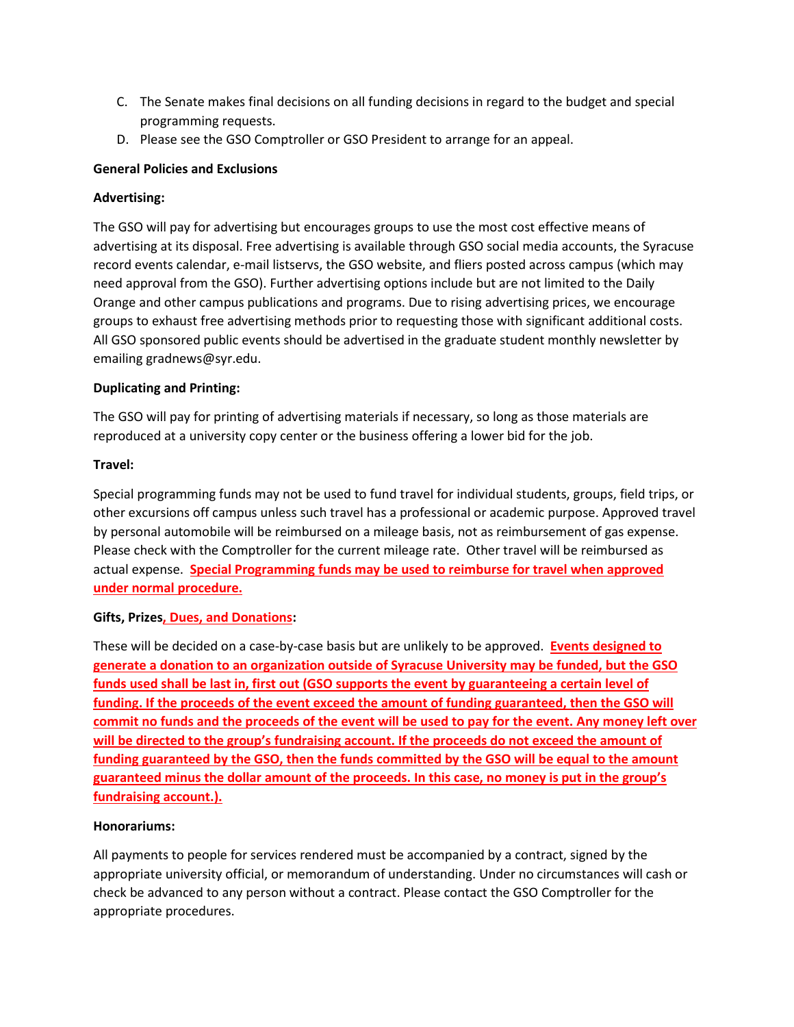- C. The Senate makes final decisions on all funding decisions in regard to the budget and special programming requests.
- D. Please see the GSO Comptroller or GSO President to arrange for an appeal.

## **General Policies and Exclusions**

## **Advertising:**

The GSO will pay for advertising but encourages groups to use the most cost effective means of advertising at its disposal. Free advertising is available through GSO social media accounts, the Syracuse record events calendar, e-mail listservs, the GSO website, and fliers posted across campus (which may need approval from the GSO). Further advertising options include but are not limited to the Daily Orange and other campus publications and programs. Due to rising advertising prices, we encourage groups to exhaust free advertising methods prior to requesting those with significant additional costs. All GSO sponsored public events should be advertised in the graduate student monthly newsletter by emailing gradnews@syr.edu.

## **Duplicating and Printing:**

The GSO will pay for printing of advertising materials if necessary, so long as those materials are reproduced at a university copy center or the business offering a lower bid for the job.

#### **Travel:**

Special programming funds may not be used to fund travel for individual students, groups, field trips, or other excursions off campus unless such travel has a professional or academic purpose. Approved travel by personal automobile will be reimbursed on a mileage basis, not as reimbursement of gas expense. Please check with the Comptroller for the current mileage rate. Other travel will be reimbursed as actual expense. **Special Programming funds may be used to reimburse for travel when approved under normal procedure.**

## **Gifts, Prizes, Dues, and Donations:**

These will be decided on a case-by-case basis but are unlikely to be approved. **Events designed to generate a donation to an organization outside of Syracuse University may be funded, but the GSO funds used shall be last in, first out (GSO supports the event by guaranteeing a certain level of funding. If the proceeds of the event exceed the amount of funding guaranteed, then the GSO will commit no funds and the proceeds of the event will be used to pay for the event. Any money left over will be directed to the group's fundraising account. If the proceeds do not exceed the amount of funding guaranteed by the GSO, then the funds committed by the GSO will be equal to the amount guaranteed minus the dollar amount of the proceeds. In this case, no money is put in the group's fundraising account.).**

#### **Honorariums:**

All payments to people for services rendered must be accompanied by a contract, signed by the appropriate university official, or memorandum of understanding. Under no circumstances will cash or check be advanced to any person without a contract. Please contact the GSO Comptroller for the appropriate procedures.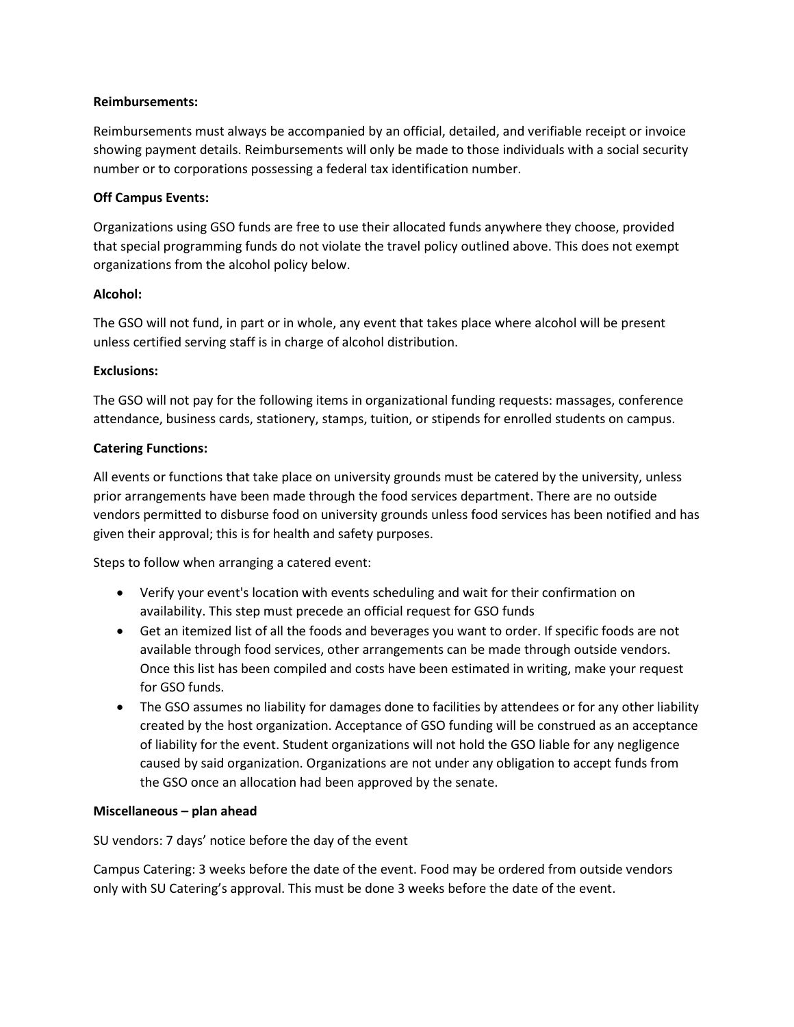## **Reimbursements:**

Reimbursements must always be accompanied by an official, detailed, and verifiable receipt or invoice showing payment details. Reimbursements will only be made to those individuals with a social security number or to corporations possessing a federal tax identification number.

#### **Off Campus Events:**

Organizations using GSO funds are free to use their allocated funds anywhere they choose, provided that special programming funds do not violate the travel policy outlined above. This does not exempt organizations from the alcohol policy below.

#### **Alcohol:**

The GSO will not fund, in part or in whole, any event that takes place where alcohol will be present unless certified serving staff is in charge of alcohol distribution.

## **Exclusions:**

The GSO will not pay for the following items in organizational funding requests: massages, conference attendance, business cards, stationery, stamps, tuition, or stipends for enrolled students on campus.

#### **Catering Functions:**

All events or functions that take place on university grounds must be catered by the university, unless prior arrangements have been made through the food services department. There are no outside vendors permitted to disburse food on university grounds unless food services has been notified and has given their approval; this is for health and safety purposes.

Steps to follow when arranging a catered event:

- Verify your event's location with events scheduling and wait for their confirmation on availability. This step must precede an official request for GSO funds
- Get an itemized list of all the foods and beverages you want to order. If specific foods are not available through food services, other arrangements can be made through outside vendors. Once this list has been compiled and costs have been estimated in writing, make your request for GSO funds.
- The GSO assumes no liability for damages done to facilities by attendees or for any other liability created by the host organization. Acceptance of GSO funding will be construed as an acceptance of liability for the event. Student organizations will not hold the GSO liable for any negligence caused by said organization. Organizations are not under any obligation to accept funds from the GSO once an allocation had been approved by the senate.

## **Miscellaneous – plan ahead**

SU vendors: 7 days' notice before the day of the event

Campus Catering: 3 weeks before the date of the event. Food may be ordered from outside vendors only with SU Catering's approval. This must be done 3 weeks before the date of the event.